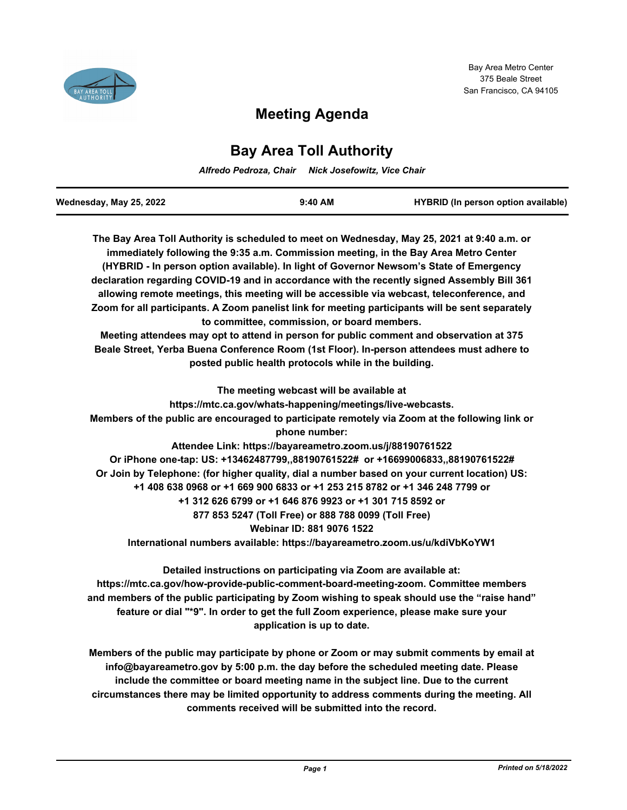

# **Meeting Agenda**

# **Bay Area Toll Authority**

*Alfredo Pedroza, Chair Nick Josefowitz, Vice Chair*

| Wednesday, May 25, 2022 | $9:40$ AM | <b>HYBRID</b> (In person option available) |
|-------------------------|-----------|--------------------------------------------|

**The Bay Area Toll Authority is scheduled to meet on Wednesday, May 25, 2021 at 9:40 a.m. or immediately following the 9:35 a.m. Commission meeting, in the Bay Area Metro Center (HYBRID - In person option available). In light of Governor Newsom's State of Emergency declaration regarding COVID-19 and in accordance with the recently signed Assembly Bill 361 allowing remote meetings, this meeting will be accessible via webcast, teleconference, and Zoom for all participants. A Zoom panelist link for meeting participants will be sent separately to committee, commission, or board members. Meeting attendees may opt to attend in person for public comment and observation at 375 Beale Street, Yerba Buena Conference Room (1st Floor). In-person attendees must adhere to posted public health protocols while in the building. The meeting webcast will be available at https://mtc.ca.gov/whats-happening/meetings/live-webcasts. Members of the public are encouraged to participate remotely via Zoom at the following link or phone number: Attendee Link: https://bayareametro.zoom.us/j/88190761522 Or iPhone one-tap: US: +13462487799,,88190761522# or +16699006833,,88190761522# Or Join by Telephone: (for higher quality, dial a number based on your current location) US: +1 408 638 0968 or +1 669 900 6833 or +1 253 215 8782 or +1 346 248 7799 or +1 312 626 6799 or +1 646 876 9923 or +1 301 715 8592 or 877 853 5247 (Toll Free) or 888 788 0099 (Toll Free) Webinar ID: 881 9076 1522 International numbers available: https://bayareametro.zoom.us/u/kdiVbKoYW1**

**Detailed instructions on participating via Zoom are available at: https://mtc.ca.gov/how-provide-public-comment-board-meeting-zoom. Committee members and members of the public participating by Zoom wishing to speak should use the "raise hand" feature or dial "\*9". In order to get the full Zoom experience, please make sure your application is up to date.**

**Members of the public may participate by phone or Zoom or may submit comments by email at info@bayareametro.gov by 5:00 p.m. the day before the scheduled meeting date. Please include the committee or board meeting name in the subject line. Due to the current circumstances there may be limited opportunity to address comments during the meeting. All comments received will be submitted into the record.**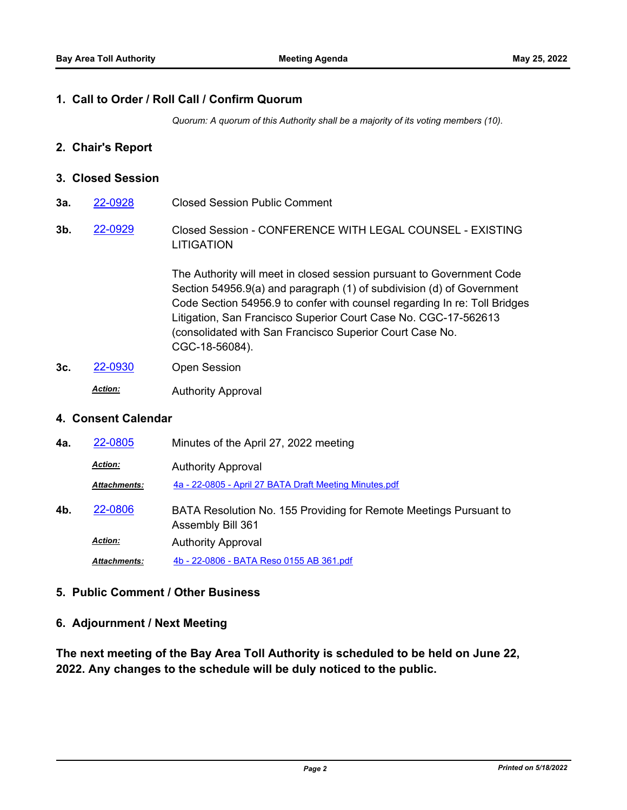#### **1. Call to Order / Roll Call / Confirm Quorum**

*Quorum: A quorum of this Authority shall be a majority of its voting members (10).*

#### **2. Chair's Report**

#### **3. Closed Session**

- **3a.** [22-0928](http://mtc.legistar.com/gateway.aspx?m=l&id=/matter.aspx?key=24187) Closed Session Public Comment
- Closed Session CONFERENCE WITH LEGAL COUNSEL EXISTING LITIGATION **3b.** [22-0929](http://mtc.legistar.com/gateway.aspx?m=l&id=/matter.aspx?key=24188)

The Authority will meet in closed session pursuant to Government Code Section 54956.9(a) and paragraph (1) of subdivision (d) of Government Code Section 54956.9 to confer with counsel regarding In re: Toll Bridges Litigation, San Francisco Superior Court Case No. CGC-17-562613 (consolidated with San Francisco Superior Court Case No. CGC-18-56084).

- **3c.** [22-0930](http://mtc.legistar.com/gateway.aspx?m=l&id=/matter.aspx?key=24189) Open Session
	- Authority Approval *Action:*

# **4. Consent Calendar**

| 4a. | 22-0805             | Minutes of the April 27, 2022 meeting                                                  |
|-----|---------------------|----------------------------------------------------------------------------------------|
|     | <b>Action:</b>      | <b>Authority Approval</b>                                                              |
|     | <b>Attachments:</b> | 4a - 22-0805 - April 27 BATA Draft Meeting Minutes.pdf                                 |
| 4b. | 22-0806             | BATA Resolution No. 155 Providing for Remote Meetings Pursuant to<br>Assembly Bill 361 |
|     | <b>Action:</b>      | <b>Authority Approval</b>                                                              |
|     | <b>Attachments:</b> | 4b - 22-0806 - BATA Reso 0155 AB 361.pdf                                               |

# **5. Public Comment / Other Business**

# **6. Adjournment / Next Meeting**

**The next meeting of the Bay Area Toll Authority is scheduled to be held on June 22, 2022. Any changes to the schedule will be duly noticed to the public.**